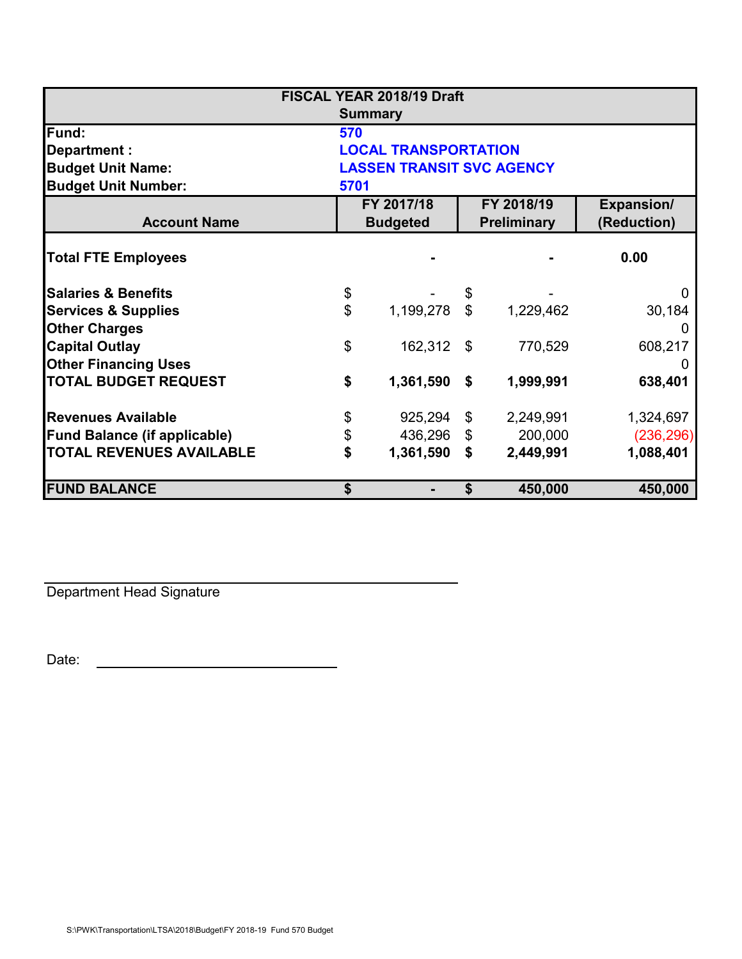| FISCAL YEAR 2018/19 Draft           |                                  |                               |                           |                                  |                                  |  |  |  |
|-------------------------------------|----------------------------------|-------------------------------|---------------------------|----------------------------------|----------------------------------|--|--|--|
|                                     | <b>Summary</b>                   |                               |                           |                                  |                                  |  |  |  |
| Fund:                               | 570                              |                               |                           |                                  |                                  |  |  |  |
| Department :                        | <b>LOCAL TRANSPORTATION</b>      |                               |                           |                                  |                                  |  |  |  |
| <b>Budget Unit Name:</b>            | <b>LASSEN TRANSIT SVC AGENCY</b> |                               |                           |                                  |                                  |  |  |  |
| <b>Budget Unit Number:</b>          | 5701                             |                               |                           |                                  |                                  |  |  |  |
| <b>Account Name</b>                 |                                  | FY 2017/18<br><b>Budgeted</b> |                           | FY 2018/19<br><b>Preliminary</b> | <b>Expansion/</b><br>(Reduction) |  |  |  |
| <b>Total FTE Employees</b>          |                                  |                               |                           |                                  | 0.00                             |  |  |  |
| <b>Salaries &amp; Benefits</b>      | \$                               |                               | $\boldsymbol{\mathsf{S}}$ |                                  | $\mathbf{0}$                     |  |  |  |
| <b>Services &amp; Supplies</b>      | \$                               | 1,199,278                     | $\mathbb{S}$              | 1,229,462                        | 30,184                           |  |  |  |
| <b>Other Charges</b>                |                                  |                               |                           |                                  |                                  |  |  |  |
| <b>Capital Outlay</b>               | \$                               | 162,312                       | \$                        | 770,529                          | 608,217                          |  |  |  |
| <b>Other Financing Uses</b>         |                                  |                               |                           |                                  |                                  |  |  |  |
| <b>TOTAL BUDGET REQUEST</b>         | \$                               | 1,361,590                     | \$                        | 1,999,991                        | 638,401                          |  |  |  |
| <b>Revenues Available</b>           | \$                               | 925,294                       | $\boldsymbol{\mathsf{S}}$ | 2,249,991                        | 1,324,697                        |  |  |  |
| <b>Fund Balance (if applicable)</b> | \$                               | 436,296                       | $\mathfrak{S}$            | 200,000                          | (236, 296)                       |  |  |  |
| <b>TOTAL REVENUES AVAILABLE</b>     | \$                               | 1,361,590                     | \$                        | 2,449,991                        | 1,088,401                        |  |  |  |
| <b>FUND BALANCE</b>                 | \$                               |                               | \$                        | 450,000                          | 450,000                          |  |  |  |

Department Head Signature

Date: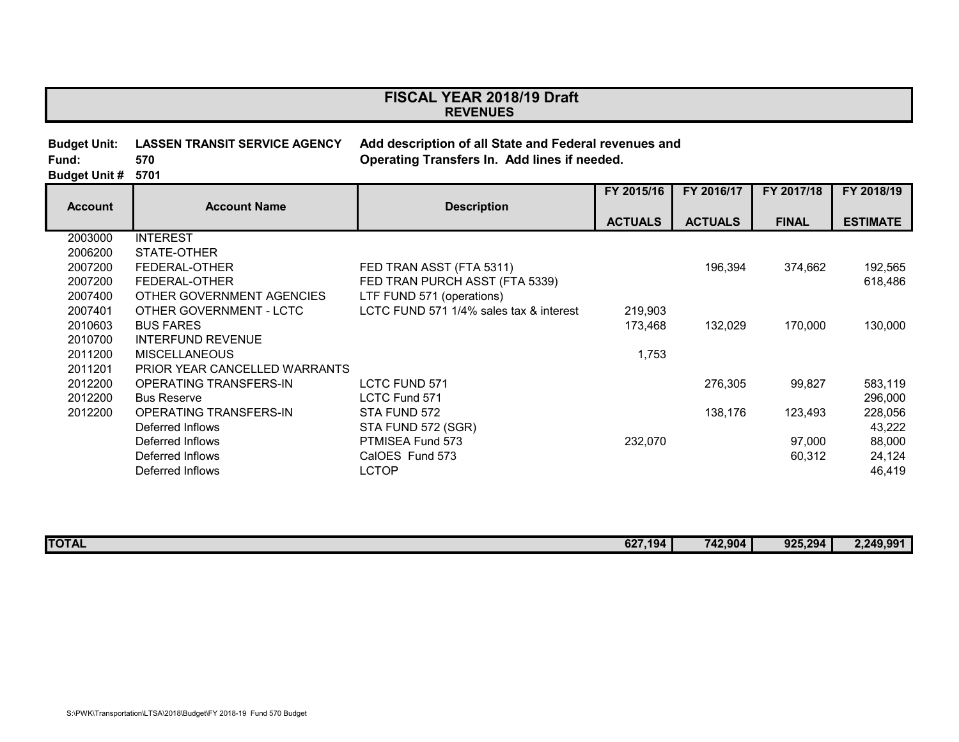## **REVENUES FISCAL YEAR 2018/19 Draft**

| Budget Unit:              |     | LASSEN TRANSIT SERVICE AGENCY Add description of all State and Federal revenues and |
|---------------------------|-----|-------------------------------------------------------------------------------------|
| Fund:                     | 570 | Operating Transfers In. Add lines if needed.                                        |
| <b>Budget Unit # 5701</b> |     |                                                                                     |

|                |                               |                                         | FY 2015/16     | FY 2016/17     | FY 2017/18   | FY 2018/19      |
|----------------|-------------------------------|-----------------------------------------|----------------|----------------|--------------|-----------------|
| <b>Account</b> | <b>Account Name</b>           | <b>Description</b>                      |                |                |              |                 |
|                |                               |                                         | <b>ACTUALS</b> | <b>ACTUALS</b> | <b>FINAL</b> | <b>ESTIMATE</b> |
| 2003000        | <b>INTEREST</b>               |                                         |                |                |              |                 |
| 2006200        | STATE-OTHER                   |                                         |                |                |              |                 |
| 2007200        | FEDERAL-OTHER                 | FED TRAN ASST (FTA 5311)                |                | 196,394        | 374,662      | 192,565         |
| 2007200        | FEDERAL-OTHER                 | FED TRAN PURCH ASST (FTA 5339)          |                |                |              | 618,486         |
| 2007400        | OTHER GOVERNMENT AGENCIES     | LTF FUND 571 (operations)               |                |                |              |                 |
| 2007401        | OTHER GOVERNMENT - LCTC       | LCTC FUND 571 1/4% sales tax & interest | 219,903        |                |              |                 |
| 2010603        | <b>BUS FARES</b>              |                                         | 173,468        | 132,029        | 170,000      | 130,000         |
| 2010700        | <b>INTERFUND REVENUE</b>      |                                         |                |                |              |                 |
| 2011200        | <b>MISCELLANEOUS</b>          |                                         | 1,753          |                |              |                 |
| 2011201        | PRIOR YEAR CANCELLED WARRANTS |                                         |                |                |              |                 |
| 2012200        | OPERATING TRANSFERS-IN        | <b>LCTC FUND 571</b>                    |                | 276,305        | 99,827       | 583,119         |
| 2012200        | <b>Bus Reserve</b>            | LCTC Fund 571                           |                |                |              | 296,000         |
| 2012200        | OPERATING TRANSFERS-IN        | STA FUND 572                            |                | 138,176        | 123,493      | 228,056         |
|                | Deferred Inflows              | STA FUND 572 (SGR)                      |                |                |              | 43,222          |
|                | Deferred Inflows              | PTMISEA Fund 573                        | 232,070        |                | 97,000       | 88,000          |
|                | Deferred Inflows              | CalOES Fund 573                         |                |                | 60,312       | 24,124          |
|                | Deferred Inflows              | <b>LCTOP</b>                            |                |                |              | 46,419          |

| <b>TOTAL</b><br>627.194<br>742,904<br>02/ | 925,294 | 2,249,991 |
|-------------------------------------------|---------|-----------|